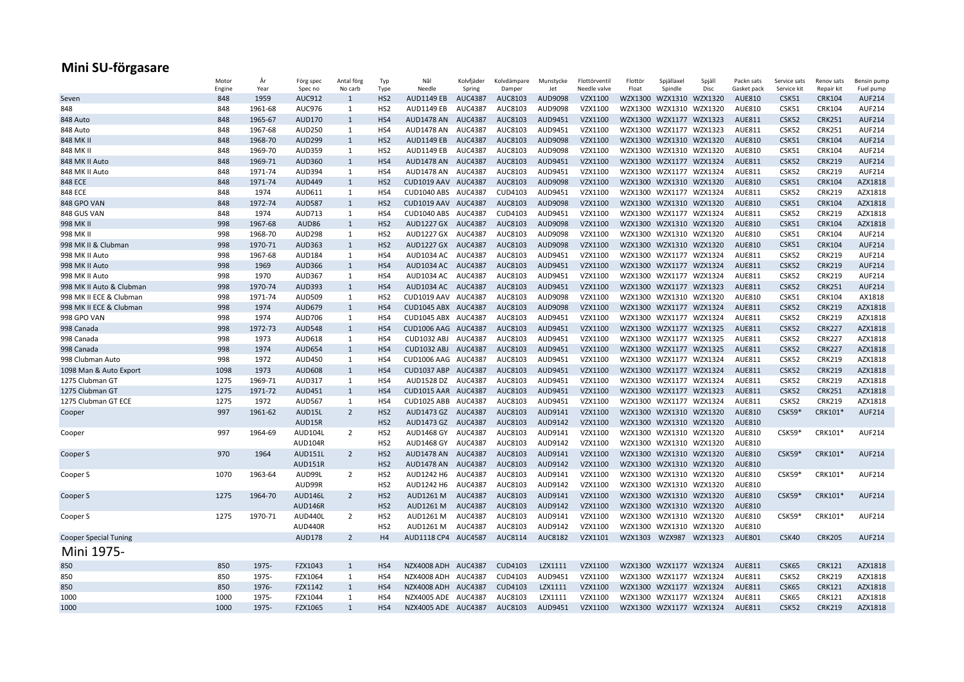## **Mini SU-förgasare**

|                              | Motor  | Ar      | Förg spec      | Antal förg     | Typ             | Năl                 | Kolvfjäder | Kolvdämpare    | Munstycke | Flottörventi | Flottör | Spjällaxel              | Spjäll | Packn sats    | Service sats  | Renov sats    | Bensin pump   |
|------------------------------|--------|---------|----------------|----------------|-----------------|---------------------|------------|----------------|-----------|--------------|---------|-------------------------|--------|---------------|---------------|---------------|---------------|
|                              | Engine | Year    | Spec no        | No carb        | Type            | Needle              | Spring     | Damper         | Jet       | Needle valve | Float   | Spindle                 | Disc   | Gasket pack   | Service kit   | Repair kit    | Fuel pump     |
| Seven                        | 848    | 1959    | <b>AUC912</b>  | $\mathbf{1}$   | HS <sub>2</sub> | <b>AUD1149 EB</b>   | AUC4387    | AUC8103        | AUD9098   | VZX1100      |         | WZX1300 WZX1310 WZX1320 |        | <b>AUE810</b> | CSK51         | <b>CRK104</b> | <b>AUF214</b> |
| 848                          | 848    | 1961-68 | <b>AUC976</b>  | 1              | HS <sub>2</sub> | <b>AUD1149 EB</b>   | AUC4387    | AUC8103        | AUD9098   | VZX1100      |         | WZX1300 WZX1310 WZX1320 |        | <b>AUE810</b> | CSK51         | <b>CRK104</b> | <b>AUF214</b> |
| 848 Auto                     | 848    | 1965-67 | <b>AUD170</b>  | $\mathbf{1}$   | HS4             | <b>AUD1478 AN</b>   | AUC4387    | AUC8103        | AUD9451   | VZX1100      |         | WZX1300 WZX1177 WZX1323 |        | AUE811        | CSK52         | <b>CRK251</b> | <b>AUF214</b> |
| 848 Auto                     | 848    | 1967-68 | <b>AUD250</b>  | $\mathbf{1}$   | HS4             | <b>AUD1478 AN</b>   | AUC4387    | AUC8103        | AUD9451   | VZX1100      |         | WZX1300 WZX1177 WZX1323 |        | AUE811        | CSK52         | <b>CRK251</b> | <b>AUF214</b> |
| 848 MK II                    | 848    | 1968-70 | <b>AUD299</b>  | $\mathbf{1}$   | HS <sub>2</sub> | <b>AUD1149 EB</b>   | AUC4387    | AUC8103        | AUD9098   | VZX1100      |         | WZX1300 WZX1310 WZX1320 |        | AUE810        | CSK51         | <b>CRK104</b> | <b>AUF214</b> |
| 848 MK II                    | 848    | 1969-70 | <b>AUD359</b>  | 1              | HS <sub>2</sub> | <b>AUD1149 EB</b>   | AUC4387    | AUC8103        | AUD9098   | VZX1100      |         | WZX1300 WZX1310 WZX1320 |        | AUE810        | CSK51         | <b>CRK104</b> | <b>AUF214</b> |
| 848 MK II Auto               | 848    | 1969-71 | <b>AUD360</b>  | $\mathbf{1}$   | HS4             | <b>AUD1478 AN</b>   | AUC4387    | AUC8103        | AUD9451   | VZX1100      |         | WZX1300 WZX1177 WZX1324 |        | <b>AUE811</b> | CSK52         | <b>CRK219</b> | <b>AUF214</b> |
| 848 MK II Auto               | 848    | 1971-74 | <b>AUD394</b>  | 1              | HS4             | <b>AUD1478 AN</b>   | AUC4387    | AUC8103        | AUD9451   | VZX1100      |         | WZX1300 WZX1177 WZX1324 |        | AUE811        | CSK52         | <b>CRK219</b> | <b>AUF214</b> |
| <b>848 ECE</b>               | 848    | 1971-74 | <b>AUD449</b>  | $\mathbf{1}$   | HS <sub>2</sub> | CUD1019 AAV AUC4387 |            | AUC8103        | AUD9098   | VZX1100      |         | WZX1300 WZX1310 WZX1320 |        | AUE810        | CSK51         | <b>CRK104</b> | AZX1818       |
| 848 ECE                      | 848    | 1974    | AUD611         | $\mathbf{1}$   | HS4             | <b>CUD1040 ABS</b>  | AUC4387    | CUD4103        | AUD9451   | VZX1100      |         | WZX1300 WZX1177 WZX1324 |        | AUE811        | CSK52         | <b>CRK219</b> | AZX1818       |
| 848 GPO VAN                  | 848    | 1972-74 | <b>AUD587</b>  | $\mathbf{1}$   | HS <sub>2</sub> | CUD1019 AAV AUC4387 |            | AUC8103        | AUD9098   | VZX1100      |         | WZX1300 WZX1310 WZX1320 |        | AUE810        | CSK51         | <b>CRK104</b> | AZX1818       |
| 848 GUS VAN                  | 848    | 1974    | AUD713         | $\mathbf{1}$   | HS4             | CUD1040 ABS AUC4387 |            | CUD4103        | AUD9451   | VZX1100      |         | WZX1300 WZX1177 WZX1324 |        | AUE811        | CSK52         | <b>CRK219</b> | AZX1818       |
| 998 MK II                    | 998    | 1967-68 | AUD86          | $\mathbf{1}$   | HS <sub>2</sub> | AUD1227 GX AUC4387  |            | AUC8103        | AUD9098   | VZX1100      |         | WZX1300 WZX1310 WZX1320 |        | <b>AUE810</b> | CSK51         | <b>CRK104</b> | AZX1818       |
| 998 MK II                    | 998    | 1968-70 | <b>AUD298</b>  | $\mathbf{1}$   | HS <sub>2</sub> | <b>AUD1227 GX</b>   | AUC4387    | AUC8103        | AUD9098   | VZX1100      |         | WZX1300 WZX1310 WZX1320 |        | AUE810        | CSK51         | <b>CRK104</b> | <b>AUF214</b> |
| 998 MK II & Clubman          | 998    | 1970-71 | AUD363         | $\mathbf{1}$   | HS <sub>2</sub> | AUD1227 GX AUC4387  |            | AUC8103        | AUD9098   | VZX1100      |         | WZX1300 WZX1310 WZX1320 |        | <b>AUE810</b> | CSK51         | <b>CRK104</b> | <b>AUF214</b> |
| 998 MK II Auto               | 998    | 1967-68 | <b>AUD184</b>  | $\mathbf{1}$   | HS4             | AUD1034 AC          | AUC4387    | AUC8103        | AUD9451   | VZX1100      |         | WZX1300 WZX1177 WZX1324 |        | AUE811        | CSK52         | <b>CRK219</b> | <b>AUF214</b> |
| 998 MK II Auto               | 998    | 1969    | <b>AUD366</b>  | $\mathbf{1}$   | HS4             | AUD1034 AC AUC4387  |            | AUC8103        | AUD9451   | VZX1100      |         | WZX1300 WZX1177 WZX1324 |        | AUE811        | CSK52         | <b>CRK219</b> | <b>AUF214</b> |
| 998 MK II Auto               | 998    | 1970    | AUD367         | $\mathbf{1}$   | HS4             | <b>AUD1034 AC</b>   | AUC4387    | AUC8103        | AUD9451   | VZX1100      |         | WZX1300 WZX1177 WZX1324 |        | AUE811        | CSK52         | <b>CRK219</b> | <b>AUF214</b> |
| 998 MK II Auto & Clubman     | 998    | 1970-74 | <b>AUD393</b>  | $\mathbf{1}$   | HS4             | AUD1034 AC AUC4387  |            | AUC8103        | AUD9451   | VZX1100      |         | WZX1300 WZX1177 WZX1323 |        | AUE811        | CSK52         | <b>CRK251</b> | <b>AUF214</b> |
| 998 MK II ECE & Clubman      | 998    | 1971-74 | AUD509         | 1              | HS <sub>2</sub> | CUD1019 AAV AUC4387 |            | AUC8103        | AUD9098   | VZX1100      |         | WZX1300 WZX1310 WZX1320 |        | AUE810        | CSK51         | <b>CRK104</b> | AX1818        |
| 998 MK II ECE & Clubman      | 998    | 1974    | AUD679         | $\mathbf{1}$   | HS4             | CUD1045 ABX AUC4387 |            | AUC8103        | AUD9098   | VZX1100      |         | WZX1300 WZX1177 WZX1324 |        | <b>AUE811</b> | CSK52         | <b>CRK219</b> | AZX1818       |
| 998 GPO VAN                  | 998    | 1974    | AUD706         | 1              | HS4             | CUD1045 ABX AUC4387 |            | AUC8103        | AUD9451   | VZX1100      |         | WZX1300 WZX1177 WZX1324 |        | AUE811        | CSK52         | <b>CRK219</b> | AZX1818       |
| 998 Canada                   | 998    | 1972-73 | <b>AUD548</b>  | $\mathbf{1}$   | HS4             | CUD1006 AAG AUC4387 |            | AUC8103        | AUD9451   | VZX1100      |         | WZX1300 WZX1177 WZX1325 |        | AUE811        | CSK52         | <b>CRK227</b> | AZX1818       |
| 998 Canada                   | 998    | 1973    | AUD618         | $\mathbf{1}$   | HS4             | CUD1032 ABJ AUC4387 |            | AUC8103        | AUD9451   | VZX1100      |         | WZX1300 WZX1177 WZX1325 |        | AUE811        | CSK52         | <b>CRK227</b> | AZX1818       |
| 998 Canada                   | 998    | 1974    | <b>AUD654</b>  | $\mathbf{1}$   | HS4             | <b>CUD1032 ABJ</b>  | AUC4387    | AUC8103        | AUD9451   | VZX1100      |         | WZX1300 WZX1177 WZX1325 |        | AUE811        | CSK52         | <b>CRK227</b> | AZX1818       |
| 998 Clubman Auto             | 998    | 1972    | AUD450         | $\mathbf{1}$   | HS4             | CUD1006 AAG AUC4387 |            | AUC8103        | AUD9451   | VZX1100      |         | WZX1300 WZX1177 WZX1324 |        | AUE811        | CSK52         | <b>CRK219</b> | AZX1818       |
| 1098 Man & Auto Export       | 1098   | 1973    | <b>AUD608</b>  | $\mathbf{1}$   | HS4             | CUD1037 ABP AUC4387 |            | AUC8103        | AUD9451   | VZX1100      |         | WZX1300 WZX1177 WZX1324 |        | <b>AUE811</b> | CSK52         | <b>CRK219</b> | AZX1818       |
| 1275 Clubman GT              | 1275   | 1969-71 | AUD317         | 1              | HS4             | AUD1528 DZ AUC4387  |            | AUC8103        | AUD9451   | VZX1100      |         | WZX1300 WZX1177 WZX1324 |        | AUE811        | CSK52         | <b>CRK219</b> | AZX1818       |
| 1275 Clubman GT              | 1275   | 1971-72 | <b>AUD451</b>  | $\mathbf{1}$   | HS4             | CUD1015 AAR AUC4387 |            | AUC8103        | AUD9451   | VZX1100      |         | WZX1300 WZX1177 WZX1323 |        | AUE811        | CSK52         | <b>CRK251</b> | AZX1818       |
| 1275 Clubman GT ECE          | 1275   | 1972    | <b>AUD567</b>  | $\mathbf{1}$   | HS4             | CUD1025 ABB AUC4387 |            | AUC8103        | AUD9451   | VZX1100      |         | WZX1300 WZX1177 WZX1324 |        | AUE811        | CSK52         | <b>CRK219</b> | AZX1818       |
| Cooper                       | 997    | 1961-62 | AUD15L         | $\overline{2}$ | HS <sub>2</sub> | AUD1473 GZ AUC4387  |            | AUC8103        | AUD9141   | VZX1100      |         | WZX1300 WZX1310 WZX1320 |        | AUE810        | $CSK59*$      | CRK101*       | <b>AUF214</b> |
|                              |        |         | AUD15R         |                | HS <sub>2</sub> | AUD1473 GZ AUC4387  |            | AUC8103        | AUD9142   | VZX1100      |         | WZX1300 WZX1310 WZX1320 |        | AUE810        |               |               |               |
| Cooper                       | 997    | 1964-69 | AUD104L        | $\overline{2}$ | HS <sub>2</sub> | <b>AUD1468 GY</b>   | AUC4387    | AUC8103        | AUD9141   | VZX1100      |         | WZX1300 WZX1310 WZX1320 |        | AUE810        | <b>CSK59*</b> | CRK101*       | <b>AUF214</b> |
|                              |        |         | AUD104R        |                | HS <sub>2</sub> | <b>AUD1468 GY</b>   | AUC4387    | AUC8103        | AUD9142   | VZX1100      |         | WZX1300 WZX1310 WZX1320 |        | <b>AUE810</b> |               |               |               |
| Cooper S                     | 970    | 1964    | <b>AUD151L</b> | $\overline{2}$ | HS <sub>2</sub> | <b>AUD1478 AN</b>   | AUC4387    | AUC8103        | AUD9141   | VZX1100      |         | WZX1300 WZX1310 WZX1320 |        | AUE810        | <b>CSK59*</b> | CRK101*       | <b>AUF214</b> |
|                              |        |         | <b>AUD151R</b> |                | HS <sub>2</sub> | <b>AUD1478 AN</b>   | AUC4387    | AUC8103        | AUD9142   | VZX1100      |         | WZX1300 WZX1310 WZX1320 |        | AUE810        |               |               |               |
| Cooper S                     | 1070   | 1963-64 | AUD99L         | $\overline{2}$ | HS <sub>2</sub> | AUD1242 H6          | AUC4387    | AUC8103        | AUD9141   | VZX1100      |         | WZX1300 WZX1310 WZX1320 |        | AUE810        | <b>CSK59*</b> | CRK101*       | <b>AUF214</b> |
|                              |        |         | AUD99R         |                | HS <sub>2</sub> | AUD1242 H6          | AUC4387    | AUC8103        | AUD9142   | VZX1100      |         | WZX1300 WZX1310 WZX1320 |        | AUE810        |               |               |               |
| Cooper S                     | 1275   | 1964-70 | AUD146L        | $\overline{2}$ | HS <sub>2</sub> | AUD1261 M           | AUC4387    | AUC8103        | AUD9141   | VZX1100      |         | WZX1300 WZX1310 WZX1320 |        | AUE810        | <b>CSK59*</b> | CRK101*       | <b>AUF214</b> |
|                              |        |         | AUD146R        |                | HS <sub>2</sub> | AUD1261 M           | AUC4387    | AUC8103        | AUD9142   | VZX1100      |         | WZX1300 WZX1310 WZX1320 |        | AUE810        |               |               |               |
| Cooper S                     | 1275   | 1970-71 | AUD440L        | 2              | HS <sub>2</sub> | AUD1261 M           | AUC4387    | AUC8103        | AUD9141   | VZX1100      |         | WZX1300 WZX1310 WZX1320 |        | <b>AUE810</b> | $CSK59*$      | CRK101*       | <b>AUF214</b> |
|                              |        |         | AUD440R        |                | HS <sub>2</sub> | AUD1261 M           | AUC4387    | AUC8103        | AUD9142   | VZX1100      |         | WZX1300 WZX1310 WZX1320 |        | AUE810        |               |               |               |
| <b>Cooper Special Tuning</b> |        |         | <b>AUD178</b>  | $\overline{2}$ | H4              | AUD1118 CP4 AUC4587 |            | AUC8114        | AUC8182   | VZX1101      |         | WZX1303 WZX987 WZX1323  |        | <b>AUE801</b> | CSK40         | <b>CRK205</b> | <b>AUF214</b> |
| Mini 1975-                   |        |         |                |                |                 |                     |            |                |           |              |         |                         |        |               |               |               |               |
| 850                          | 850    | 1975-   | FZX1043        | $\mathbf{1}$   | HS4             | NZX4008 ADH AUC4387 |            | CUD4103        | LZX1111   | VZX1100      |         | WZX1300 WZX1177 WZX1324 |        | AUE811        | CSK65         | <b>CRK121</b> | AZX1818       |
| 850                          | 850    | 1975-   | FZX1064        | $\mathbf{1}$   | HS4             | NZX4008 ADH AUC4387 |            | CUD4103        | AUD9451   | VZX1100      |         | WZX1300 WZX1177 WZX1324 |        | AUE811        | CSK52         | <b>CRK219</b> | AZX1818       |
| 850                          | 850    | 1976-   | FZX1142        | $\mathbf{1}$   | HS4             | NZX4008 ADH AUC4387 |            | <b>CUD4103</b> | LZX1111   | VZX1100      |         | WZX1300 WZX1177 WZX1324 |        | AUE811        | CSK65         | <b>CRK121</b> | AZX1818       |
| 1000                         | 1000   | 1975-   | FZX1044        | $\mathbf{1}$   | HS4             | NZX4005 ADE AUC4387 |            | AUC8103        | LZX1111   | VZX1100      |         | WZX1300 WZX1177 WZX1324 |        | AUE811        | CSK65         | <b>CRK121</b> | AZX1818       |
| 1000                         | 1000   | 1975-   | FZX1065        | $\mathbf{1}$   | HS4             | NZX4005 ADE AUC4387 |            | AUC8103        | AUD9451   | VZX1100      |         | WZX1300 WZX1177 WZX1324 |        | <b>AUE811</b> | CSK52         | <b>CRK219</b> | AZX1818       |